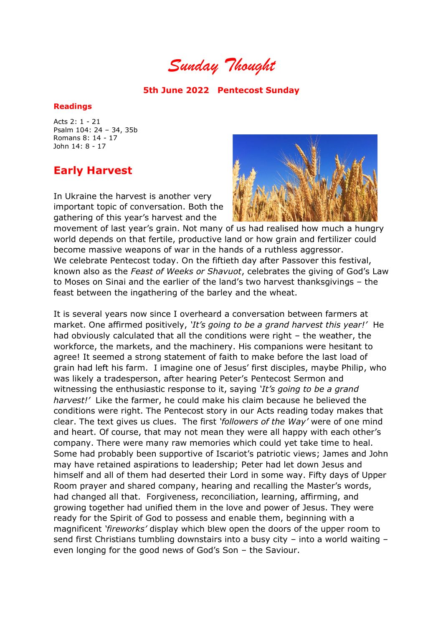*Sunday Thought*

## **5th June 2022 Pentecost Sunday**

## **Readings**

Acts 2: 1 - 21 Psalm 104: 24 – 34, 35b Romans 8: 14 - 17 John 14: 8 - 17

## **Early Harvest**

In Ukraine the harvest is another very important topic of conversation. Both the gathering of this year's harvest and the



movement of last year's grain. Not many of us had realised how much a hungry world depends on that fertile, productive land or how grain and fertilizer could become massive weapons of war in the hands of a ruthless aggressor. We celebrate Pentecost today. On the fiftieth day after Passover this festival, known also as the *Feast of Weeks or Shavuot*, celebrates the giving of God's Law to Moses on Sinai and the earlier of the land's two harvest thanksgivings – the feast between the ingathering of the barley and the wheat.

It is several years now since I overheard a conversation between farmers at market. One affirmed positively, *'It's going to be a grand harvest this year!'* He had obviously calculated that all the conditions were right – the weather, the workforce, the markets, and the machinery. His companions were hesitant to agree! It seemed a strong statement of faith to make before the last load of grain had left his farm. I imagine one of Jesus' first disciples, maybe Philip, who was likely a tradesperson, after hearing Peter's Pentecost Sermon and witnessing the enthusiastic response to it, saying *'It's going to be a grand harvest!'* Like the farmer, he could make his claim because he believed the conditions were right. The Pentecost story in our Acts reading today makes that clear. The text gives us clues. The first *'followers of the Way'* were of one mind and heart. Of course, that may not mean they were all happy with each other's company. There were many raw memories which could yet take time to heal. Some had probably been supportive of Iscariot's patriotic views; James and John may have retained aspirations to leadership; Peter had let down Jesus and himself and all of them had deserted their Lord in some way. Fifty days of Upper Room prayer and shared company, hearing and recalling the Master's words, had changed all that. Forgiveness, reconciliation, learning, affirming, and growing together had unified them in the love and power of Jesus. They were ready for the Spirit of God to possess and enable them, beginning with a magnificent *'fireworks'* display which blew open the doors of the upper room to send first Christians tumbling downstairs into a busy city – into a world waiting – even longing for the good news of God's Son – the Saviour.